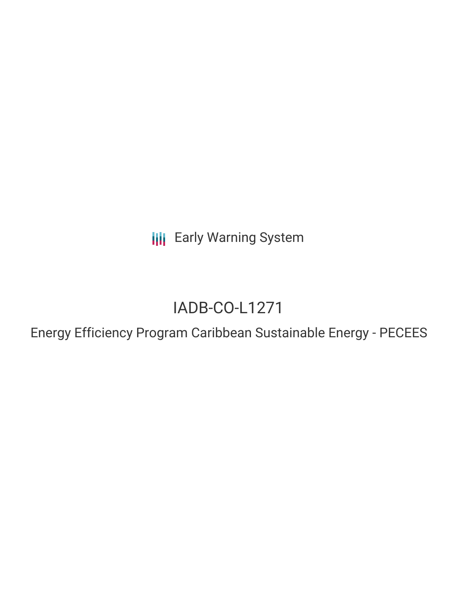**III** Early Warning System

# IADB-CO-L1271

Energy Efficiency Program Caribbean Sustainable Energy - PECEES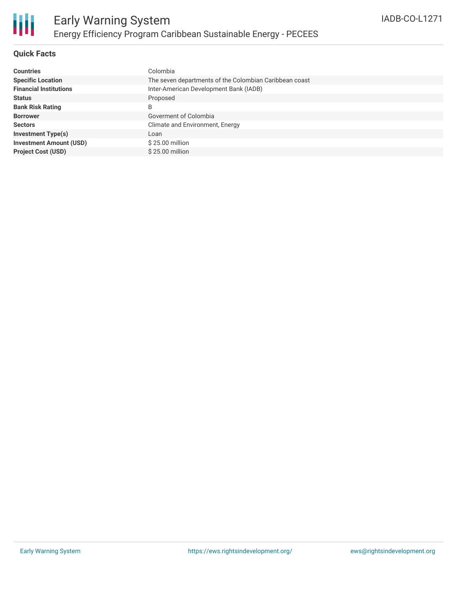

# **Quick Facts**

| <b>Countries</b>               | Colombia                                               |
|--------------------------------|--------------------------------------------------------|
| <b>Specific Location</b>       | The seven departments of the Colombian Caribbean coast |
| <b>Financial Institutions</b>  | Inter-American Development Bank (IADB)                 |
| <b>Status</b>                  | Proposed                                               |
| <b>Bank Risk Rating</b>        | B                                                      |
| <b>Borrower</b>                | Goverment of Colombia                                  |
| <b>Sectors</b>                 | Climate and Environment, Energy                        |
| <b>Investment Type(s)</b>      | Loan                                                   |
| <b>Investment Amount (USD)</b> | $$25.00$ million                                       |
| <b>Project Cost (USD)</b>      | \$25.00 million                                        |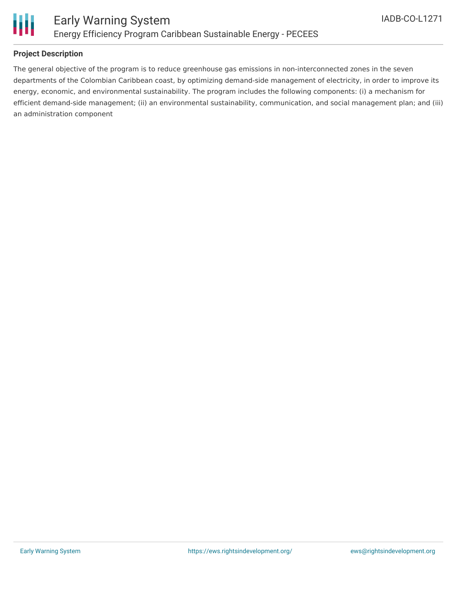

# **Project Description**

The general objective of the program is to reduce greenhouse gas emissions in non-interconnected zones in the seven departments of the Colombian Caribbean coast, by optimizing demand-side management of electricity, in order to improve its energy, economic, and environmental sustainability. The program includes the following components: (i) a mechanism for efficient demand-side management; (ii) an environmental sustainability, communication, and social management plan; and (iii) an administration component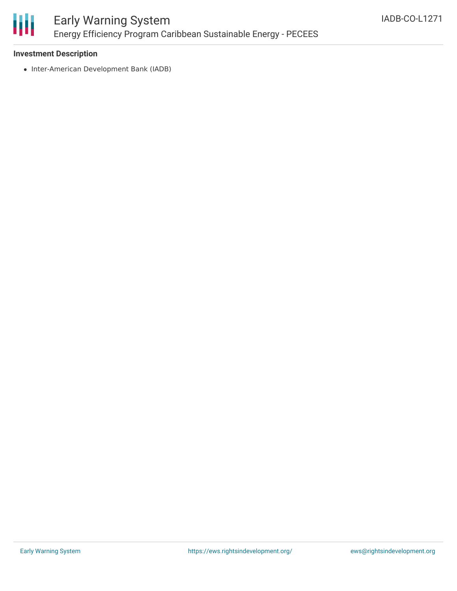

## **Investment Description**

• Inter-American Development Bank (IADB)